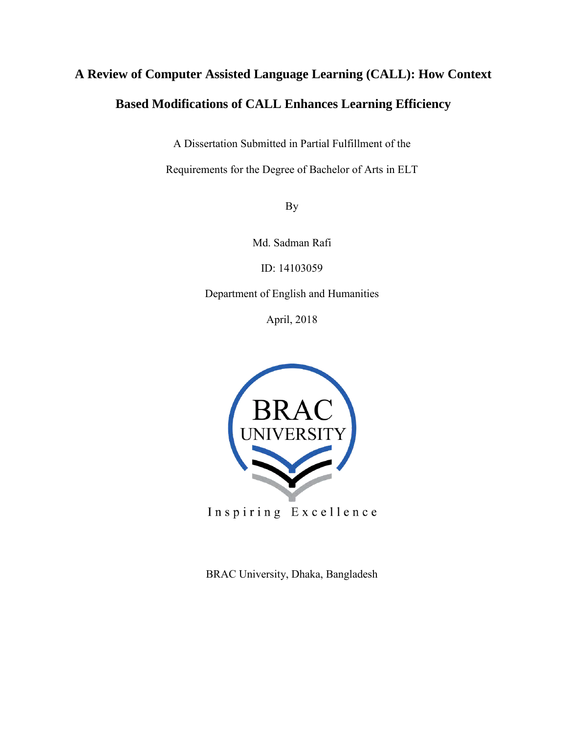# **A Review of Computer Assisted Language Learning (CALL): How Context Based Modifications of CALL Enhances Learning Efficiency**

A Dissertation Submitted in Partial Fulfillment of the

Requirements for the Degree of Bachelor of Arts in ELT

By

Md. Sadman Rafi

ID: 14103059

Department of English and Humanities

April, 2018



Inspiring Excellence

BRAC University, Dhaka, Bangladesh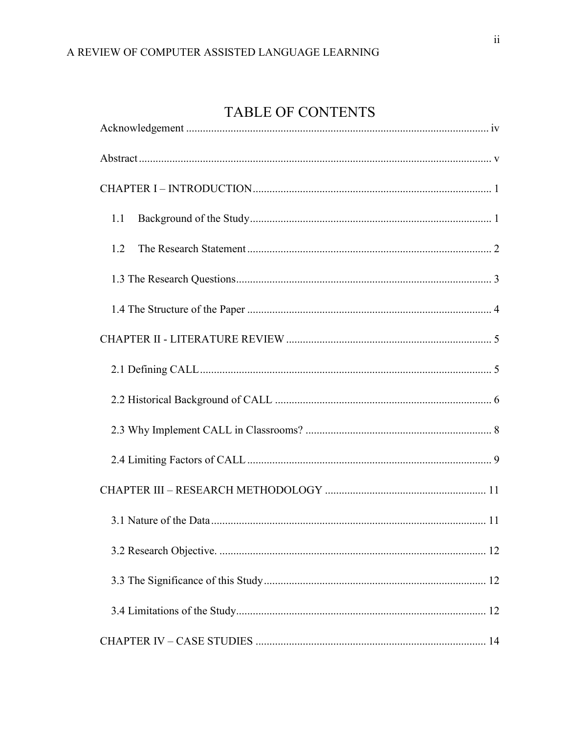### TABLE OF CONTENTS

| 1.1 |
|-----|
| 1.2 |
|     |
|     |
|     |
|     |
|     |
|     |
|     |
|     |
|     |
|     |
|     |
|     |
|     |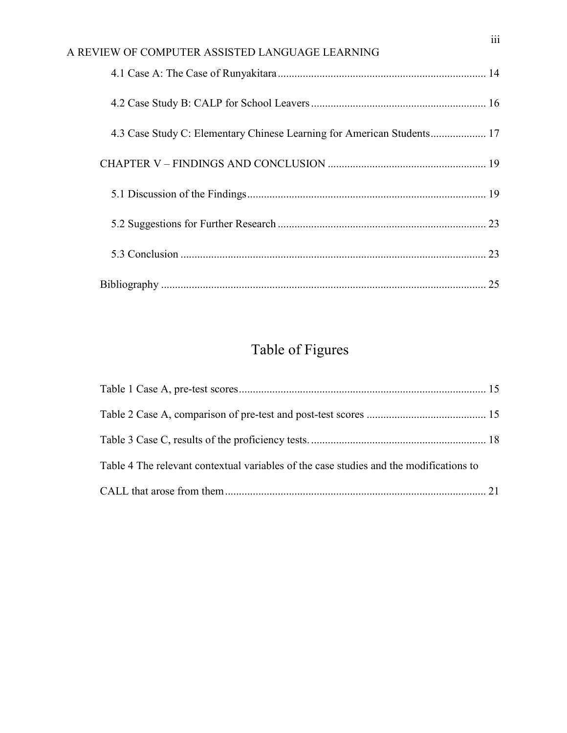| A REVIEW OF COMPUTER ASSISTED LANGUAGE LEARNING                        |  |
|------------------------------------------------------------------------|--|
|                                                                        |  |
|                                                                        |  |
| 4.3 Case Study C: Elementary Chinese Learning for American Students 17 |  |
|                                                                        |  |
|                                                                        |  |
|                                                                        |  |
|                                                                        |  |
|                                                                        |  |

# Table of Figures

| Table 4 The relevant contextual variables of the case studies and the modifications to |  |
|----------------------------------------------------------------------------------------|--|
|                                                                                        |  |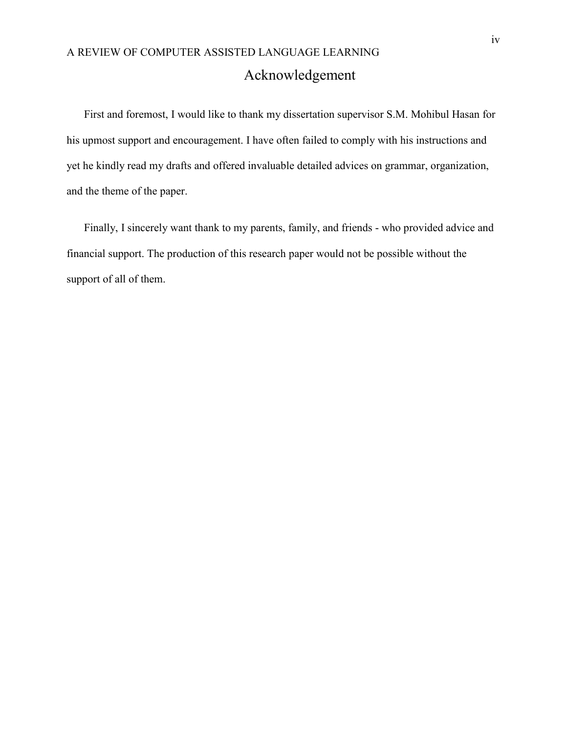### <span id="page-3-0"></span>A REVIEW OF COMPUTER ASSISTED LANGUAGE LEARNING Acknowledgement

First and foremost, I would like to thank my dissertation supervisor S.M. Mohibul Hasan for his upmost support and encouragement. I have often failed to comply with his instructions and yet he kindly read my drafts and offered invaluable detailed advices on grammar, organization, and the theme of the paper.

Finally, I sincerely want thank to my parents, family, and friends - who provided advice and financial support. The production of this research paper would not be possible without the support of all of them.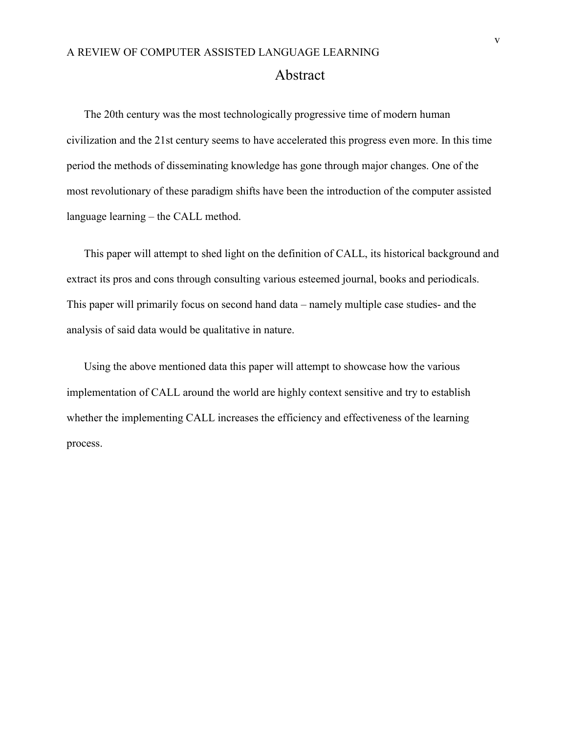<span id="page-4-0"></span>The 20th century was the most technologically progressive time of modern human civilization and the 21st century seems to have accelerated this progress even more. In this time period the methods of disseminating knowledge has gone through major changes. One of the most revolutionary of these paradigm shifts have been the introduction of the computer assisted language learning – the CALL method.

This paper will attempt to shed light on the definition of CALL, its historical background and extract its pros and cons through consulting various esteemed journal, books and periodicals. This paper will primarily focus on second hand data – namely multiple case studies- and the analysis of said data would be qualitative in nature.

Using the above mentioned data this paper will attempt to showcase how the various implementation of CALL around the world are highly context sensitive and try to establish whether the implementing CALL increases the efficiency and effectiveness of the learning process.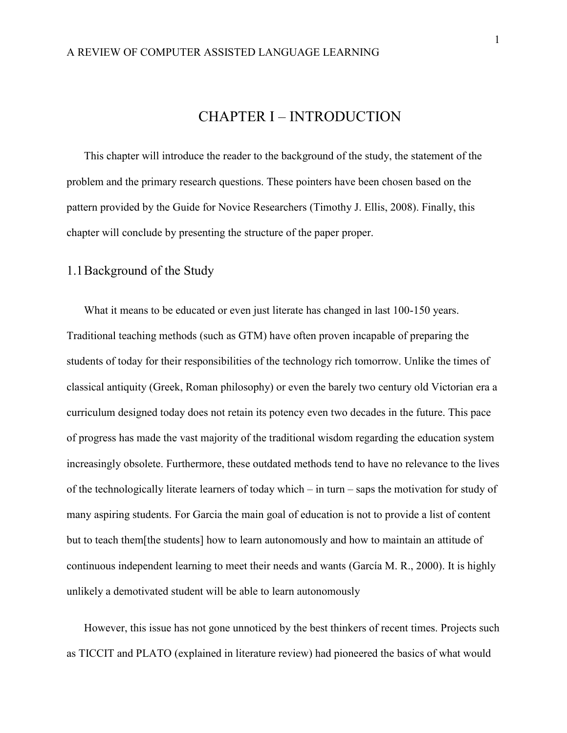#### CHAPTER I – INTRODUCTION

<span id="page-5-0"></span>This chapter will introduce the reader to the background of the study, the statement of the problem and the primary research questions. These pointers have been chosen based on the pattern provided by the Guide for Novice Researchers (Timothy J. Ellis, 2008). Finally, this chapter will conclude by presenting the structure of the paper proper.

#### <span id="page-5-1"></span>1.1Background of the Study

What it means to be educated or even just literate has changed in last 100-150 years. Traditional teaching methods (such as GTM) have often proven incapable of preparing the students of today for their responsibilities of the technology rich tomorrow. Unlike the times of classical antiquity (Greek, Roman philosophy) or even the barely two century old Victorian era a curriculum designed today does not retain its potency even two decades in the future. This pace of progress has made the vast majority of the traditional wisdom regarding the education system increasingly obsolete. Furthermore, these outdated methods tend to have no relevance to the lives of the technologically literate learners of today which – in turn – saps the motivation for study of many aspiring students. For Garcia the main goal of education is not to provide a list of content but to teach them[the students] how to learn autonomously and how to maintain an attitude of continuous independent learning to meet their needs and wants (García M. R., 2000). It is highly unlikely a demotivated student will be able to learn autonomously

However, this issue has not gone unnoticed by the best thinkers of recent times. Projects such as TICCIT and PLATO (explained in literature review) had pioneered the basics of what would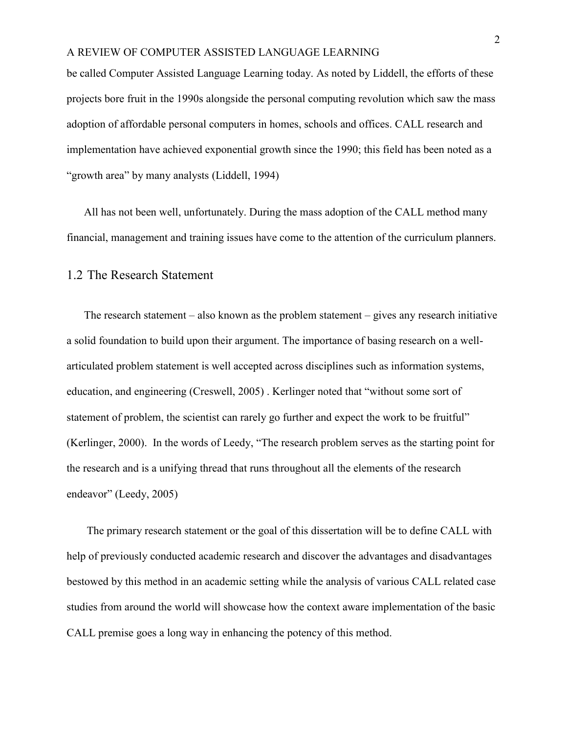be called Computer Assisted Language Learning today. As noted by Liddell, the efforts of these projects bore fruit in the 1990s alongside the personal computing revolution which saw the mass adoption of affordable personal computers in homes, schools and offices. CALL research and implementation have achieved exponential growth since the 1990; this field has been noted as a "growth area" by many analysts (Liddell, 1994)

All has not been well, unfortunately. During the mass adoption of the CALL method many financial, management and training issues have come to the attention of the curriculum planners.

#### <span id="page-6-0"></span>1.2 The Research Statement

The research statement – also known as the problem statement – gives any research initiative a solid foundation to build upon their argument. The importance of basing research on a wellarticulated problem statement is well accepted across disciplines such as information systems, education, and engineering (Creswell, 2005) . Kerlinger noted that "without some sort of statement of problem, the scientist can rarely go further and expect the work to be fruitful" (Kerlinger, 2000). In the words of Leedy, "The research problem serves as the starting point for the research and is a unifying thread that runs throughout all the elements of the research endeavor" (Leedy, 2005)

The primary research statement or the goal of this dissertation will be to define CALL with help of previously conducted academic research and discover the advantages and disadvantages bestowed by this method in an academic setting while the analysis of various CALL related case studies from around the world will showcase how the context aware implementation of the basic CALL premise goes a long way in enhancing the potency of this method.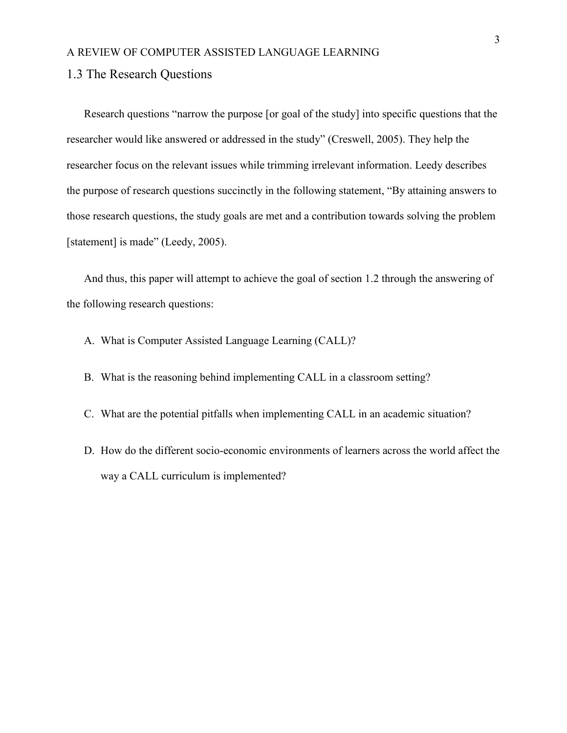#### <span id="page-7-0"></span>1.3 The Research Questions

Research questions "narrow the purpose [or goal of the study] into specific questions that the researcher would like answered or addressed in the study" (Creswell, 2005). They help the researcher focus on the relevant issues while trimming irrelevant information. Leedy describes the purpose of research questions succinctly in the following statement, "By attaining answers to those research questions, the study goals are met and a contribution towards solving the problem [statement] is made" (Leedy, 2005).

And thus, this paper will attempt to achieve the goal of section 1.2 through the answering of the following research questions:

- A. What is Computer Assisted Language Learning (CALL)?
- B. What is the reasoning behind implementing CALL in a classroom setting?
- C. What are the potential pitfalls when implementing CALL in an academic situation?
- D. How do the different socio-economic environments of learners across the world affect the way a CALL curriculum is implemented?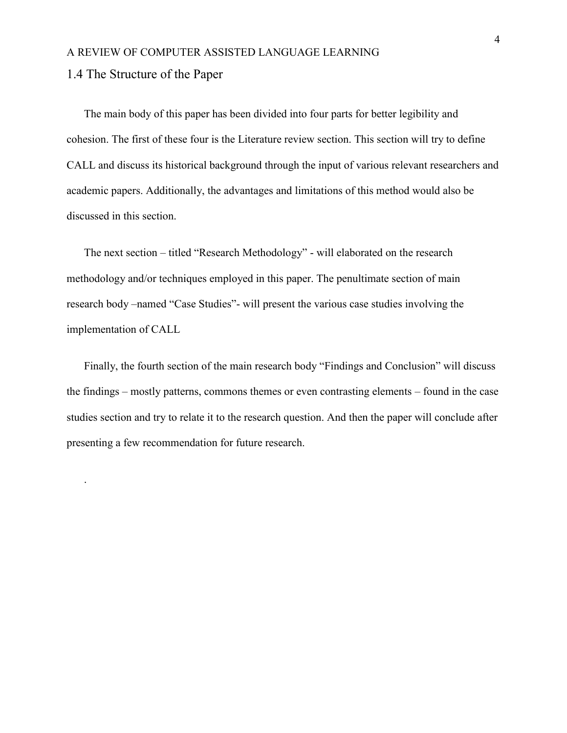<span id="page-8-0"></span>1.4 The Structure of the Paper

.

The main body of this paper has been divided into four parts for better legibility and cohesion. The first of these four is the Literature review section. This section will try to define CALL and discuss its historical background through the input of various relevant researchers and academic papers. Additionally, the advantages and limitations of this method would also be discussed in this section.

The next section – titled "Research Methodology" - will elaborated on the research methodology and/or techniques employed in this paper. The penultimate section of main research body –named "Case Studies"- will present the various case studies involving the implementation of CALL

Finally, the fourth section of the main research body "Findings and Conclusion" will discuss the findings – mostly patterns, commons themes or even contrasting elements – found in the case studies section and try to relate it to the research question. And then the paper will conclude after presenting a few recommendation for future research.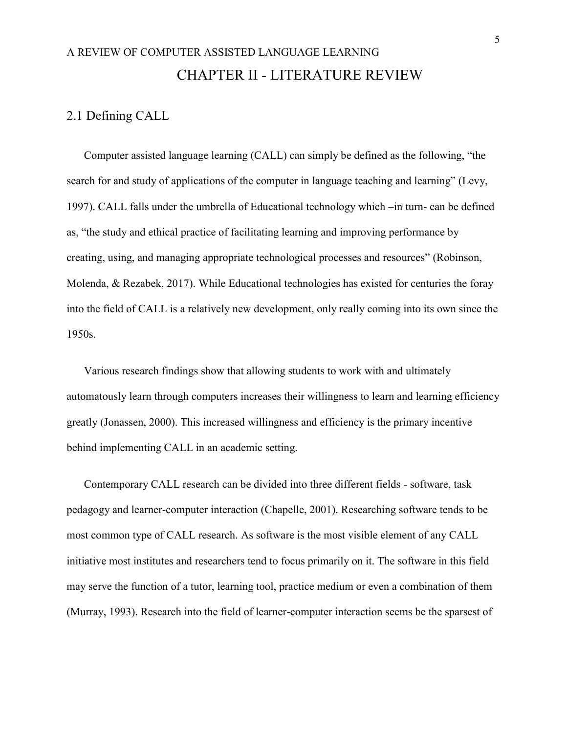## <span id="page-9-0"></span>A REVIEW OF COMPUTER ASSISTED LANGUAGE LEARNING CHAPTER II - LITERATURE REVIEW

#### <span id="page-9-1"></span>2.1 Defining CALL

Computer assisted language learning (CALL) can simply be defined as the following, "the search for and study of applications of the computer in language teaching and learning" (Levy, 1997). CALL falls under the umbrella of Educational technology which –in turn- can be defined as, "the study and ethical practice of facilitating learning and improving performance by creating, using, and managing appropriate technological processes and resources" (Robinson, Molenda, & Rezabek, 2017). While Educational technologies has existed for centuries the foray into the field of CALL is a relatively new development, only really coming into its own since the 1950s.

Various research findings show that allowing students to work with and ultimately automatously learn through computers increases their willingness to learn and learning efficiency greatly (Jonassen, 2000). This increased willingness and efficiency is the primary incentive behind implementing CALL in an academic setting.

Contemporary CALL research can be divided into three different fields - software, task pedagogy and learner-computer interaction (Chapelle, 2001). Researching software tends to be most common type of CALL research. As software is the most visible element of any CALL initiative most institutes and researchers tend to focus primarily on it. The software in this field may serve the function of a tutor, learning tool, practice medium or even a combination of them (Murray, 1993). Research into the field of learner-computer interaction seems be the sparsest of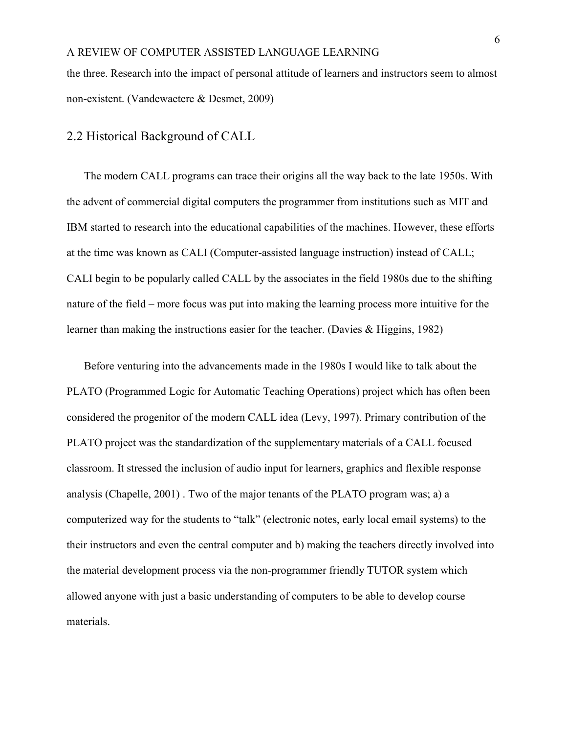the three. Research into the impact of personal attitude of learners and instructors seem to almost non-existent. (Vandewaetere & Desmet, 2009)

#### <span id="page-10-0"></span>2.2 Historical Background of CALL

The modern CALL programs can trace their origins all the way back to the late 1950s. With the advent of commercial digital computers the programmer from institutions such as MIT and IBM started to research into the educational capabilities of the machines. However, these efforts at the time was known as CALI (Computer-assisted language instruction) instead of CALL; CALI begin to be popularly called CALL by the associates in the field 1980s due to the shifting nature of the field – more focus was put into making the learning process more intuitive for the learner than making the instructions easier for the teacher. (Davies & Higgins, 1982)

Before venturing into the advancements made in the 1980s I would like to talk about the PLATO (Programmed Logic for Automatic Teaching Operations) project which has often been considered the progenitor of the modern CALL idea (Levy, 1997). Primary contribution of the PLATO project was the standardization of the supplementary materials of a CALL focused classroom. It stressed the inclusion of audio input for learners, graphics and flexible response analysis (Chapelle, 2001) . Two of the major tenants of the PLATO program was; a) a computerized way for the students to "talk" (electronic notes, early local email systems) to the their instructors and even the central computer and b) making the teachers directly involved into the material development process via the non-programmer friendly TUTOR system which allowed anyone with just a basic understanding of computers to be able to develop course materials.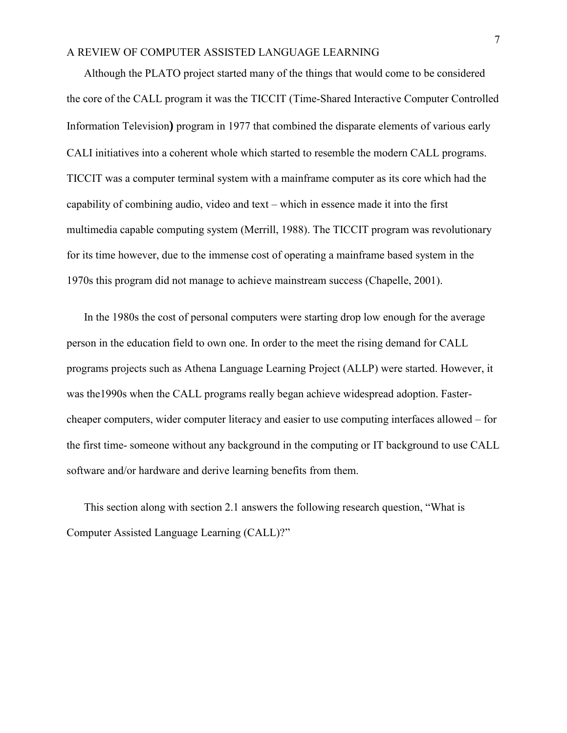Although the PLATO project started many of the things that would come to be considered the core of the CALL program it was the TICCIT (Time-Shared Interactive Computer Controlled Information Television**)** program in 1977 that combined the disparate elements of various early CALI initiatives into a coherent whole which started to resemble the modern CALL programs. TICCIT was a computer terminal system with a mainframe computer as its core which had the capability of combining audio, video and text – which in essence made it into the first multimedia capable computing system (Merrill, 1988). The TICCIT program was revolutionary for its time however, due to the immense cost of operating a mainframe based system in the 1970s this program did not manage to achieve mainstream success (Chapelle, 2001).

In the 1980s the cost of personal computers were starting drop low enough for the average person in the education field to own one. In order to the meet the rising demand for CALL programs projects such as Athena Language Learning Project (ALLP) were started. However, it was the1990s when the CALL programs really began achieve widespread adoption. Fastercheaper computers, wider computer literacy and easier to use computing interfaces allowed – for the first time- someone without any background in the computing or IT background to use CALL software and/or hardware and derive learning benefits from them.

This section along with section 2.1 answers the following research question, "What is Computer Assisted Language Learning (CALL)?"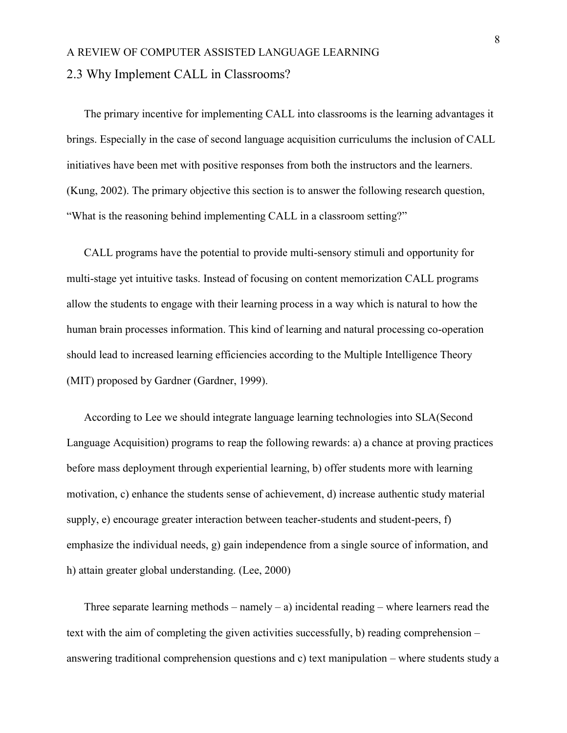### <span id="page-12-0"></span>A REVIEW OF COMPUTER ASSISTED LANGUAGE LEARNING 2.3 Why Implement CALL in Classrooms?

The primary incentive for implementing CALL into classrooms is the learning advantages it brings. Especially in the case of second language acquisition curriculums the inclusion of CALL initiatives have been met with positive responses from both the instructors and the learners. (Kung, 2002). The primary objective this section is to answer the following research question, "What is the reasoning behind implementing CALL in a classroom setting?"

CALL programs have the potential to provide multi-sensory stimuli and opportunity for multi-stage yet intuitive tasks. Instead of focusing on content memorization CALL programs allow the students to engage with their learning process in a way which is natural to how the human brain processes information. This kind of learning and natural processing co-operation should lead to increased learning efficiencies according to the Multiple Intelligence Theory (MIT) proposed by Gardner (Gardner, 1999).

According to Lee we should integrate language learning technologies into SLA(Second Language Acquisition) programs to reap the following rewards: a) a chance at proving practices before mass deployment through experiential learning, b) offer students more with learning motivation, c) enhance the students sense of achievement, d) increase authentic study material supply, e) encourage greater interaction between teacher-students and student-peers, f) emphasize the individual needs, g) gain independence from a single source of information, and h) attain greater global understanding. (Lee, 2000)

Three separate learning methods – namely – a) incidental reading – where learners read the text with the aim of completing the given activities successfully, b) reading comprehension – answering traditional comprehension questions and c) text manipulation – where students study a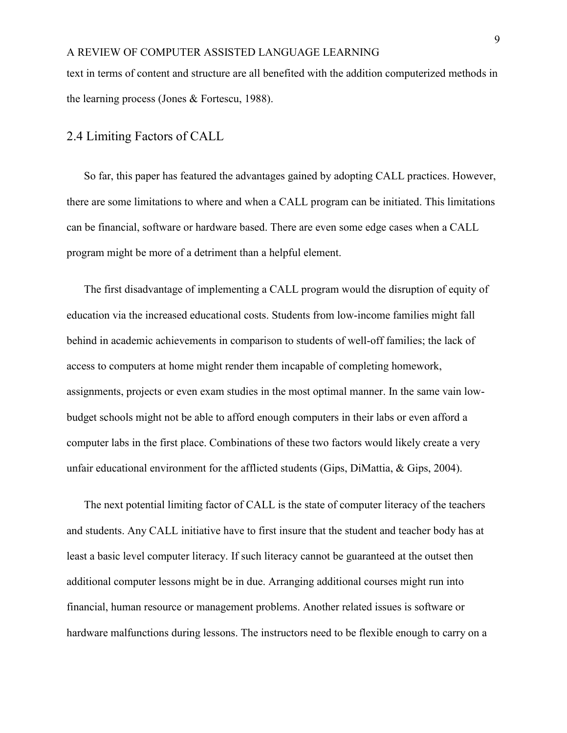text in terms of content and structure are all benefited with the addition computerized methods in the learning process (Jones & Fortescu, 1988).

#### <span id="page-13-0"></span>2.4 Limiting Factors of CALL

So far, this paper has featured the advantages gained by adopting CALL practices. However, there are some limitations to where and when a CALL program can be initiated. This limitations can be financial, software or hardware based. There are even some edge cases when a CALL program might be more of a detriment than a helpful element.

The first disadvantage of implementing a CALL program would the disruption of equity of education via the increased educational costs. Students from low-income families might fall behind in academic achievements in comparison to students of well-off families; the lack of access to computers at home might render them incapable of completing homework, assignments, projects or even exam studies in the most optimal manner. In the same vain lowbudget schools might not be able to afford enough computers in their labs or even afford a computer labs in the first place. Combinations of these two factors would likely create a very unfair educational environment for the afflicted students (Gips, DiMattia, & Gips, 2004).

The next potential limiting factor of CALL is the state of computer literacy of the teachers and students. Any CALL initiative have to first insure that the student and teacher body has at least a basic level computer literacy. If such literacy cannot be guaranteed at the outset then additional computer lessons might be in due. Arranging additional courses might run into financial, human resource or management problems. Another related issues is software or hardware malfunctions during lessons. The instructors need to be flexible enough to carry on a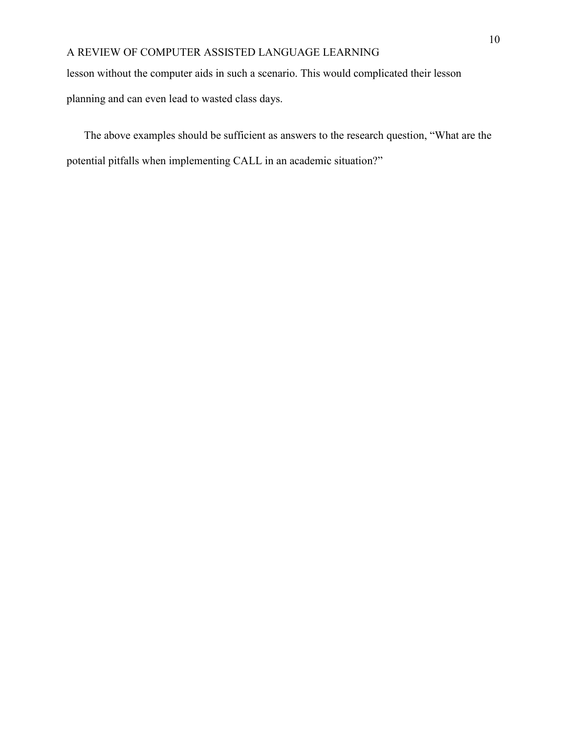lesson without the computer aids in such a scenario. This would complicated their lesson

planning and can even lead to wasted class days.

The above examples should be sufficient as answers to the research question, "What are the potential pitfalls when implementing CALL in an academic situation?"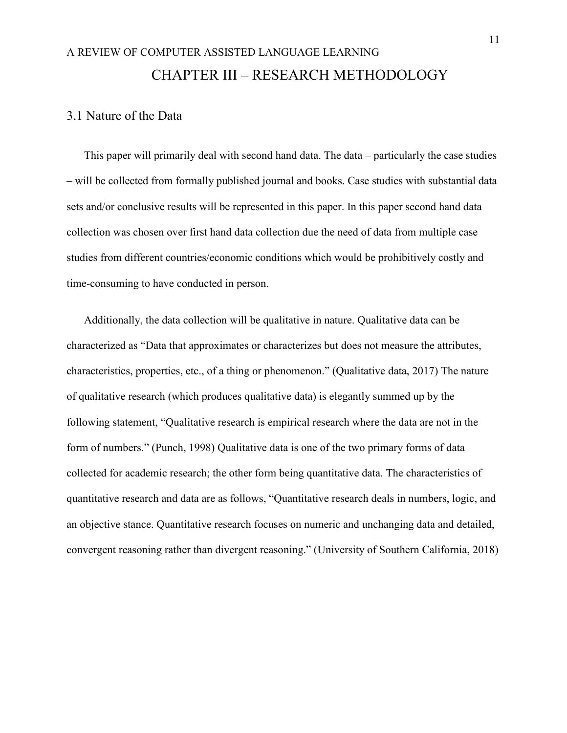## <span id="page-15-0"></span>A REVIEW OF COMPUTER ASSISTED LANGUAGE LEARNING CHAPTER III – RESEARCH METHODOLOGY

#### <span id="page-15-1"></span>3.1 Nature of the Data

This paper will primarily deal with second hand data. The data – particularly the case studies – will be collected from formally published journal and books. Case studies with substantial data sets and/or conclusive results will be represented in this paper. In this paper second hand data collection was chosen over first hand data collection due the need of data from multiple case studies from different countries/economic conditions which would be prohibitively costly and time-consuming to have conducted in person.

Additionally, the data collection will be qualitative in nature. Qualitative data can be characterized as "Data that approximates or characterizes but does not measure the attributes, characteristics, properties, etc., of a thing or phenomenon." (Qualitative data, 2017) The nature of qualitative research (which produces qualitative data) is elegantly summed up by the following statement, "Qualitative research is empirical research where the data are not in the form of numbers." (Punch, 1998) Qualitative data is one of the two primary forms of data collected for academic research; the other form being quantitative data. The characteristics of quantitative research and data are as follows, "Quantitative research deals in numbers, logic, and an objective stance. Quantitative research focuses on numeric and unchanging data and detailed, convergent reasoning rather than divergent reasoning." (University of Southern California, 2018)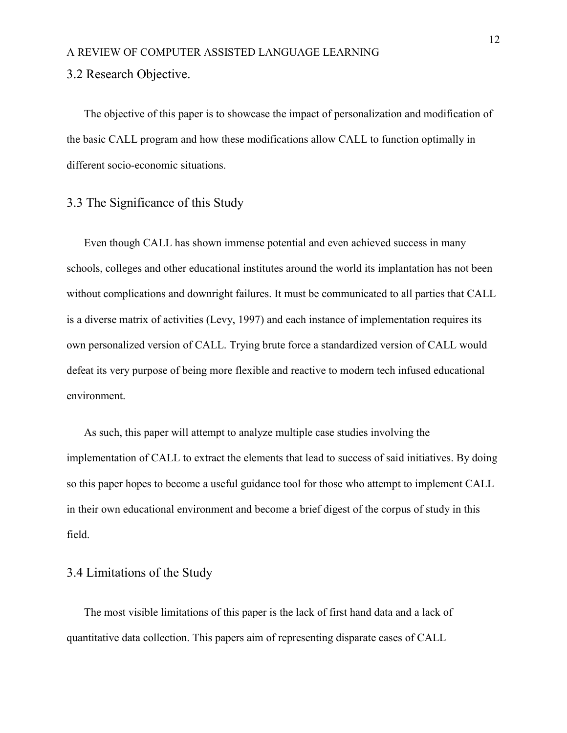#### <span id="page-16-0"></span>3.2 Research Objective.

The objective of this paper is to showcase the impact of personalization and modification of the basic CALL program and how these modifications allow CALL to function optimally in different socio-economic situations.

#### <span id="page-16-1"></span>3.3 The Significance of this Study

Even though CALL has shown immense potential and even achieved success in many schools, colleges and other educational institutes around the world its implantation has not been without complications and downright failures. It must be communicated to all parties that CALL is a diverse matrix of activities (Levy, 1997) and each instance of implementation requires its own personalized version of CALL. Trying brute force a standardized version of CALL would defeat its very purpose of being more flexible and reactive to modern tech infused educational environment.

As such, this paper will attempt to analyze multiple case studies involving the implementation of CALL to extract the elements that lead to success of said initiatives. By doing so this paper hopes to become a useful guidance tool for those who attempt to implement CALL in their own educational environment and become a brief digest of the corpus of study in this field.

#### <span id="page-16-2"></span>3.4 Limitations of the Study

The most visible limitations of this paper is the lack of first hand data and a lack of quantitative data collection. This papers aim of representing disparate cases of CALL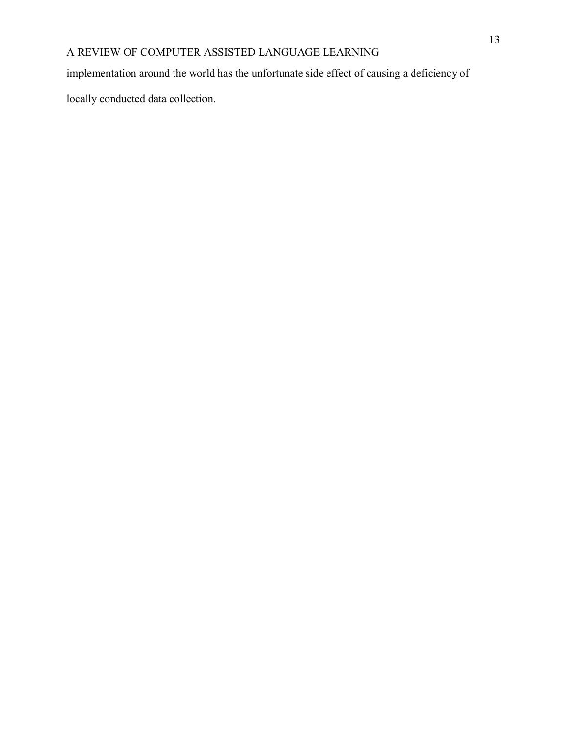implementation around the world has the unfortunate side effect of causing a deficiency of

locally conducted data collection.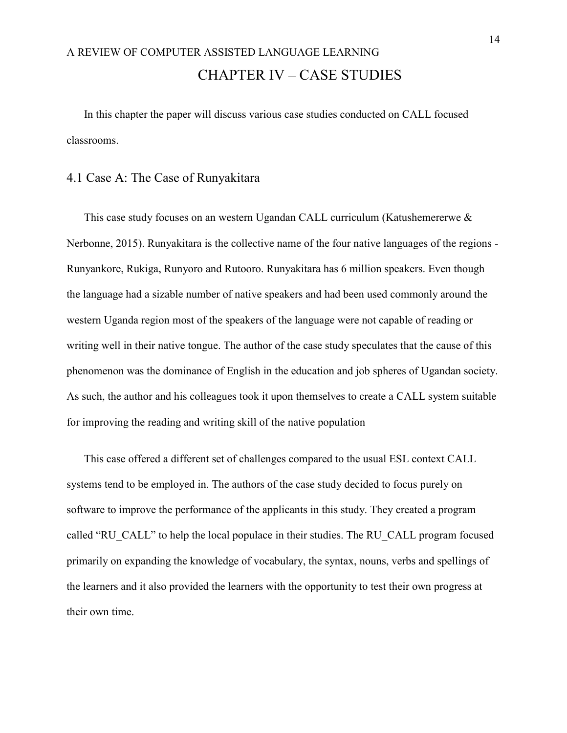## <span id="page-18-0"></span>A REVIEW OF COMPUTER ASSISTED LANGUAGE LEARNING CHAPTER IV – CASE STUDIES

In this chapter the paper will discuss various case studies conducted on CALL focused classrooms.

#### <span id="page-18-1"></span>4.1 Case A: The Case of Runyakitara

This case study focuses on an western Ugandan CALL curriculum (Katushemererwe & Nerbonne, 2015). Runyakitara is the collective name of the four native languages of the regions - Runyankore, Rukiga, Runyoro and Rutooro. Runyakitara has 6 million speakers. Even though the language had a sizable number of native speakers and had been used commonly around the western Uganda region most of the speakers of the language were not capable of reading or writing well in their native tongue. The author of the case study speculates that the cause of this phenomenon was the dominance of English in the education and job spheres of Ugandan society. As such, the author and his colleagues took it upon themselves to create a CALL system suitable for improving the reading and writing skill of the native population

This case offered a different set of challenges compared to the usual ESL context CALL systems tend to be employed in. The authors of the case study decided to focus purely on software to improve the performance of the applicants in this study. They created a program called "RU\_CALL" to help the local populace in their studies. The RU\_CALL program focused primarily on expanding the knowledge of vocabulary, the syntax, nouns, verbs and spellings of the learners and it also provided the learners with the opportunity to test their own progress at their own time.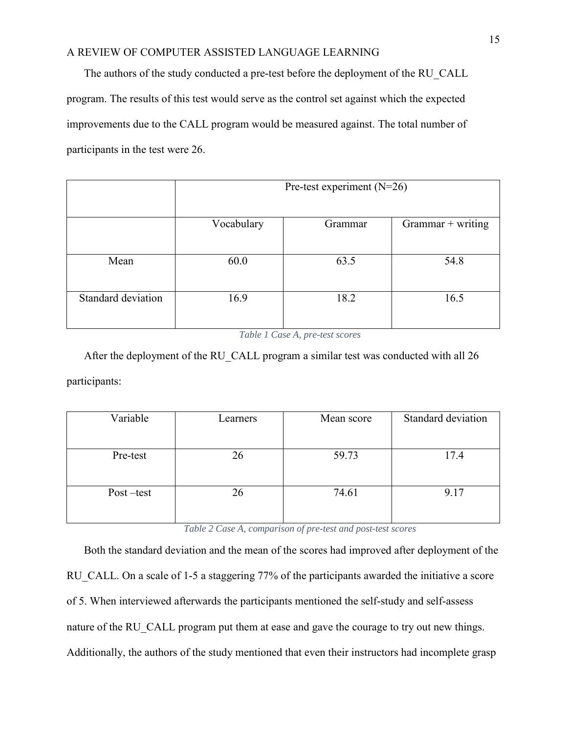The authors of the study conducted a pre-test before the deployment of the RU\_CALL program. The results of this test would serve as the control set against which the expected improvements due to the CALL program would be measured against. The total number of participants in the test were 26.

|                    | Pre-test experiment $(N=26)$ |         |                   |
|--------------------|------------------------------|---------|-------------------|
|                    | Vocabulary                   | Grammar | Grammar + writing |
| Mean               | 60.0                         | 63.5    | 54.8              |
| Standard deviation | 16.9                         | 18.2    | 16.5              |

*Table 1 Case A, pre-test scores*

<span id="page-19-0"></span>After the deployment of the RU CALL program a similar test was conducted with all 26 participants:

| Variable  | Learners | Mean score | Standard deviation |
|-----------|----------|------------|--------------------|
|           |          |            |                    |
| Pre-test  | 26       | 59.73      | 17.4               |
|           |          |            |                    |
| Post-test | 26       | 74.61      | 9.17               |
|           |          |            |                    |

*Table 2 Case A, comparison of pre-test and post-test scores*

<span id="page-19-1"></span>Both the standard deviation and the mean of the scores had improved after deployment of the RU CALL. On a scale of 1-5 a staggering 77% of the participants awarded the initiative a score of 5. When interviewed afterwards the participants mentioned the self-study and self-assess nature of the RU CALL program put them at ease and gave the courage to try out new things. Additionally, the authors of the study mentioned that even their instructors had incomplete grasp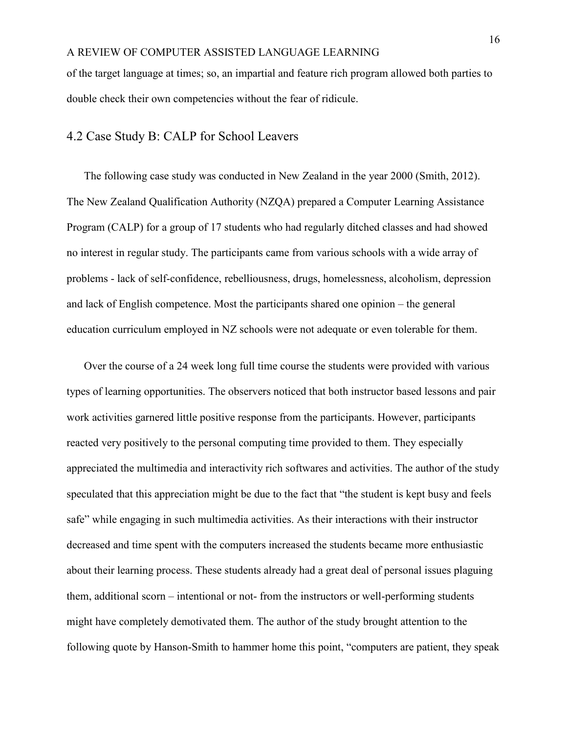of the target language at times; so, an impartial and feature rich program allowed both parties to double check their own competencies without the fear of ridicule.

#### <span id="page-20-0"></span>4.2 Case Study B: CALP for School Leavers

The following case study was conducted in New Zealand in the year 2000 (Smith, 2012). The New Zealand Qualification Authority (NZQA) prepared a Computer Learning Assistance Program (CALP) for a group of 17 students who had regularly ditched classes and had showed no interest in regular study. The participants came from various schools with a wide array of problems - lack of self-confidence, rebelliousness, drugs, homelessness, alcoholism, depression and lack of English competence. Most the participants shared one opinion – the general education curriculum employed in NZ schools were not adequate or even tolerable for them.

Over the course of a 24 week long full time course the students were provided with various types of learning opportunities. The observers noticed that both instructor based lessons and pair work activities garnered little positive response from the participants. However, participants reacted very positively to the personal computing time provided to them. They especially appreciated the multimedia and interactivity rich softwares and activities. The author of the study speculated that this appreciation might be due to the fact that "the student is kept busy and feels safe" while engaging in such multimedia activities. As their interactions with their instructor decreased and time spent with the computers increased the students became more enthusiastic about their learning process. These students already had a great deal of personal issues plaguing them, additional scorn – intentional or not- from the instructors or well-performing students might have completely demotivated them. The author of the study brought attention to the following quote by Hanson-Smith to hammer home this point, "computers are patient, they speak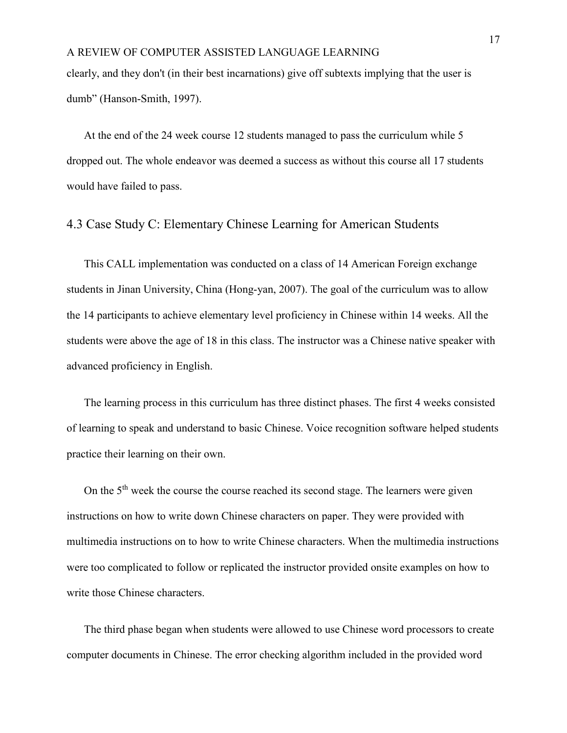clearly, and they don't (in their best incarnations) give off subtexts implying that the user is dumb" (Hanson-Smith, 1997).

At the end of the 24 week course 12 students managed to pass the curriculum while 5 dropped out. The whole endeavor was deemed a success as without this course all 17 students would have failed to pass.

#### <span id="page-21-0"></span>4.3 Case Study C: Elementary Chinese Learning for American Students

This CALL implementation was conducted on a class of 14 American Foreign exchange students in Jinan University, China (Hong-yan, 2007). The goal of the curriculum was to allow the 14 participants to achieve elementary level proficiency in Chinese within 14 weeks. All the students were above the age of 18 in this class. The instructor was a Chinese native speaker with advanced proficiency in English.

The learning process in this curriculum has three distinct phases. The first 4 weeks consisted of learning to speak and understand to basic Chinese. Voice recognition software helped students practice their learning on their own.

On the 5<sup>th</sup> week the course the course reached its second stage. The learners were given instructions on how to write down Chinese characters on paper. They were provided with multimedia instructions on to how to write Chinese characters. When the multimedia instructions were too complicated to follow or replicated the instructor provided onsite examples on how to write those Chinese characters.

The third phase began when students were allowed to use Chinese word processors to create computer documents in Chinese. The error checking algorithm included in the provided word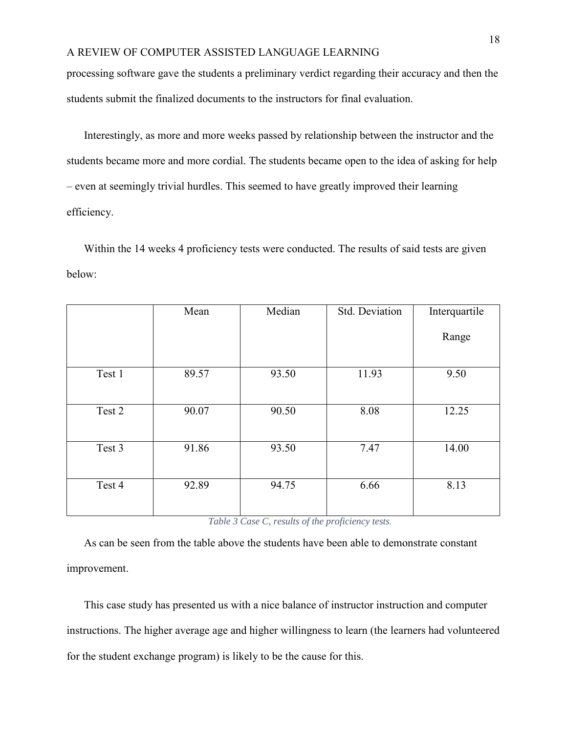processing software gave the students a preliminary verdict regarding their accuracy and then the students submit the finalized documents to the instructors for final evaluation.

Interestingly, as more and more weeks passed by relationship between the instructor and the students became more and more cordial. The students became open to the idea of asking for help – even at seemingly trivial hurdles. This seemed to have greatly improved their learning efficiency.

Within the 14 weeks 4 proficiency tests were conducted. The results of said tests are given below:

|        | Mean  | Median | Std. Deviation | Interquartile |
|--------|-------|--------|----------------|---------------|
|        |       |        |                | Range         |
| Test 1 | 89.57 | 93.50  | 11.93          | 9.50          |
| Test 2 | 90.07 | 90.50  | 8.08           | 12.25         |
| Test 3 | 91.86 | 93.50  | 7.47           | 14.00         |
| Test 4 | 92.89 | 94.75  | 6.66           | 8.13          |

#### *Table 3 Case C, results of the proficiency tests.*

<span id="page-22-0"></span>As can be seen from the table above the students have been able to demonstrate constant improvement.

This case study has presented us with a nice balance of instructor instruction and computer instructions. The higher average age and higher willingness to learn (the learners had volunteered for the student exchange program) is likely to be the cause for this.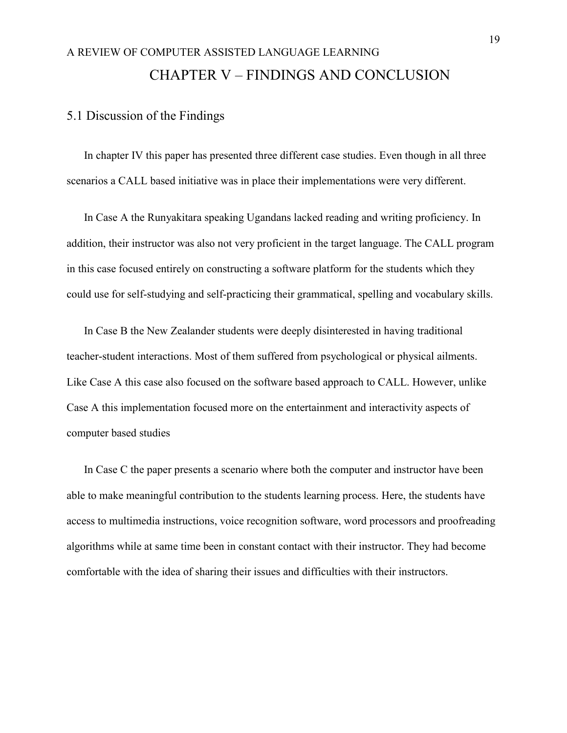## <span id="page-23-0"></span>A REVIEW OF COMPUTER ASSISTED LANGUAGE LEARNING CHAPTER V – FINDINGS AND CONCLUSION

#### <span id="page-23-1"></span>5.1 Discussion of the Findings

In chapter IV this paper has presented three different case studies. Even though in all three scenarios a CALL based initiative was in place their implementations were very different.

In Case A the Runyakitara speaking Ugandans lacked reading and writing proficiency. In addition, their instructor was also not very proficient in the target language. The CALL program in this case focused entirely on constructing a software platform for the students which they could use for self-studying and self-practicing their grammatical, spelling and vocabulary skills.

In Case B the New Zealander students were deeply disinterested in having traditional teacher-student interactions. Most of them suffered from psychological or physical ailments. Like Case A this case also focused on the software based approach to CALL. However, unlike Case A this implementation focused more on the entertainment and interactivity aspects of computer based studies

In Case C the paper presents a scenario where both the computer and instructor have been able to make meaningful contribution to the students learning process. Here, the students have access to multimedia instructions, voice recognition software, word processors and proofreading algorithms while at same time been in constant contact with their instructor. They had become comfortable with the idea of sharing their issues and difficulties with their instructors.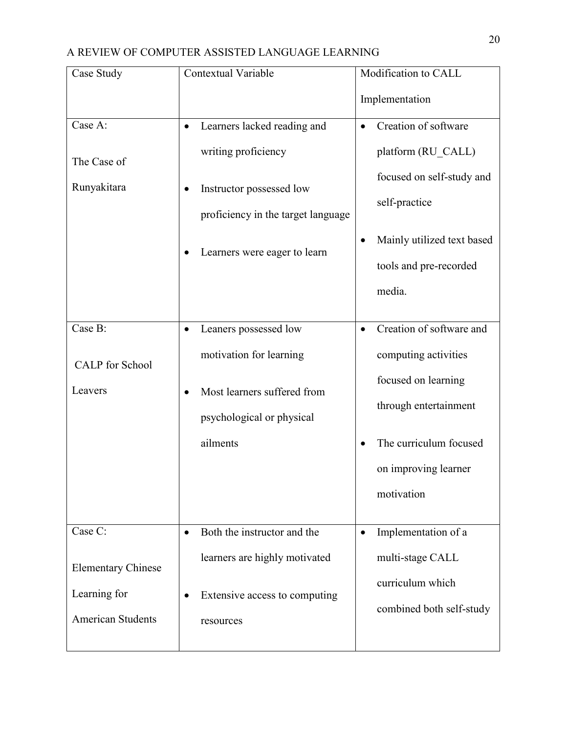| Case Study                | <b>Contextual Variable</b>                 | Modification to CALL                  |  |
|---------------------------|--------------------------------------------|---------------------------------------|--|
|                           |                                            | Implementation                        |  |
| Case A:                   | Learners lacked reading and<br>٠           | Creation of software<br>$\bullet$     |  |
| The Case of               | writing proficiency                        | platform (RU CALL)                    |  |
| Runyakitara               | Instructor possessed low                   | focused on self-study and             |  |
|                           | proficiency in the target language         | self-practice                         |  |
|                           | Learners were eager to learn               | Mainly utilized text based            |  |
|                           |                                            | tools and pre-recorded                |  |
|                           |                                            | media.                                |  |
| Case B:                   | Leaners possessed low<br>٠                 | Creation of software and<br>$\bullet$ |  |
| <b>CALP</b> for School    | motivation for learning                    | computing activities                  |  |
| Leavers                   | Most learners suffered from                | focused on learning                   |  |
|                           | psychological or physical                  | through entertainment                 |  |
|                           | ailments                                   | The curriculum focused                |  |
|                           |                                            | on improving learner                  |  |
|                           |                                            | motivation                            |  |
| Case C:                   | Both the instructor and the<br>$\bullet$   | Implementation of a<br>$\bullet$      |  |
|                           | learners are highly motivated              | multi-stage CALL                      |  |
| <b>Elementary Chinese</b> |                                            | curriculum which                      |  |
| Learning for              | Extensive access to computing<br>$\bullet$ | combined both self-study              |  |
| <b>American Students</b>  | resources                                  |                                       |  |
|                           |                                            |                                       |  |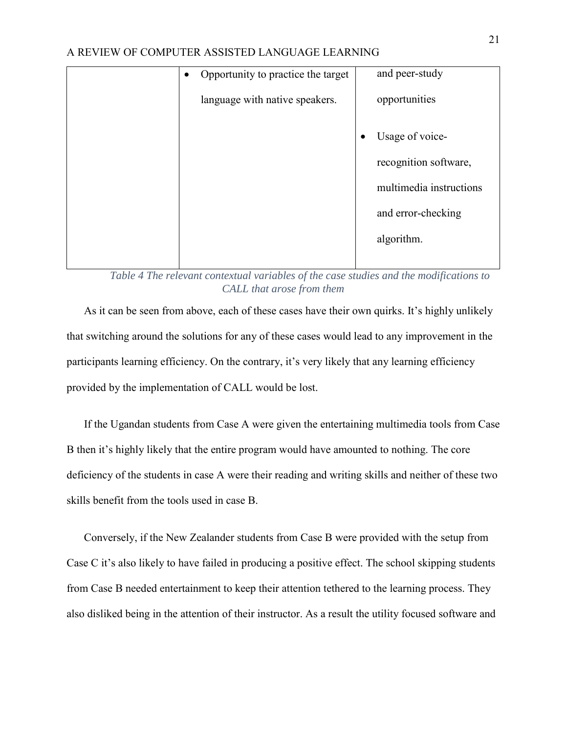| $\bullet$ | Opportunity to practice the target |           | and peer-study          |
|-----------|------------------------------------|-----------|-------------------------|
|           | language with native speakers.     |           | opportunities           |
|           |                                    | $\bullet$ | Usage of voice-         |
|           |                                    |           | recognition software,   |
|           |                                    |           | multimedia instructions |
|           |                                    |           | and error-checking      |
|           |                                    |           | algorithm.              |
|           |                                    |           |                         |

*Table 4 The relevant contextual variables of the case studies and the modifications to CALL that arose from them*

<span id="page-25-0"></span>As it can be seen from above, each of these cases have their own quirks. It's highly unlikely that switching around the solutions for any of these cases would lead to any improvement in the participants learning efficiency. On the contrary, it's very likely that any learning efficiency provided by the implementation of CALL would be lost.

If the Ugandan students from Case A were given the entertaining multimedia tools from Case B then it's highly likely that the entire program would have amounted to nothing. The core deficiency of the students in case A were their reading and writing skills and neither of these two skills benefit from the tools used in case B.

Conversely, if the New Zealander students from Case B were provided with the setup from Case C it's also likely to have failed in producing a positive effect. The school skipping students from Case B needed entertainment to keep their attention tethered to the learning process. They also disliked being in the attention of their instructor. As a result the utility focused software and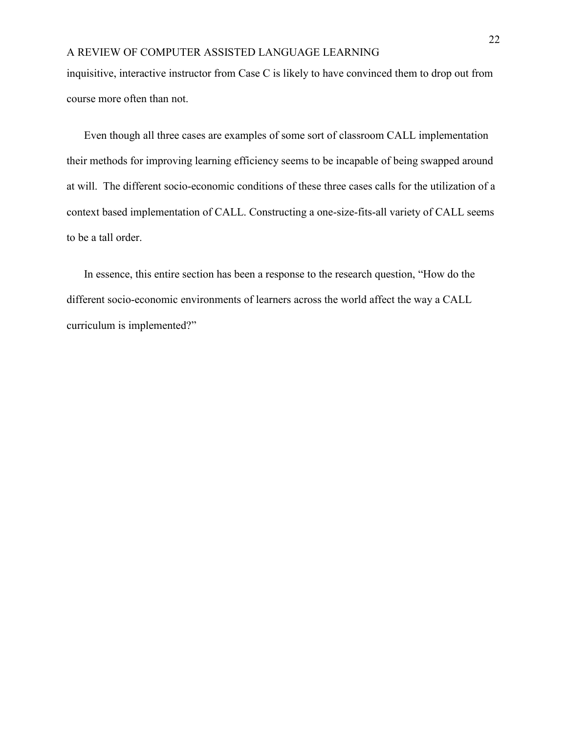inquisitive, interactive instructor from Case C is likely to have convinced them to drop out from course more often than not.

Even though all three cases are examples of some sort of classroom CALL implementation their methods for improving learning efficiency seems to be incapable of being swapped around at will. The different socio-economic conditions of these three cases calls for the utilization of a context based implementation of CALL. Constructing a one-size-fits-all variety of CALL seems to be a tall order.

In essence, this entire section has been a response to the research question, "How do the different socio-economic environments of learners across the world affect the way a CALL curriculum is implemented?"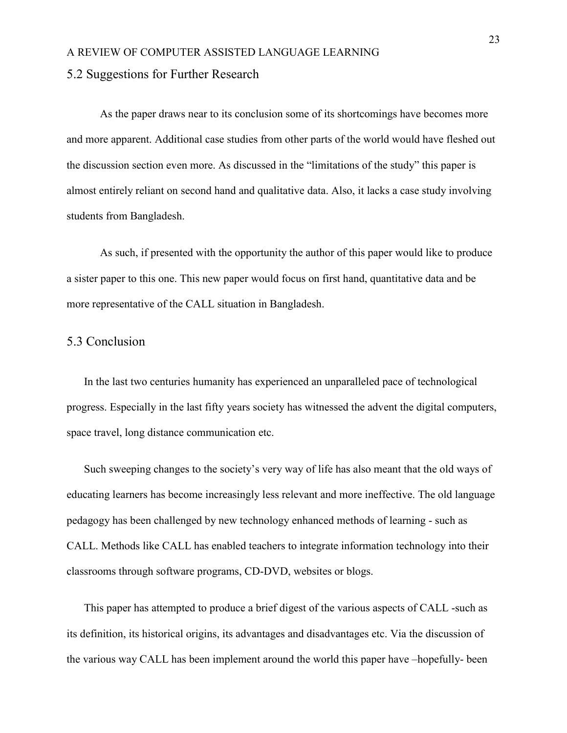#### <span id="page-27-0"></span>5.2 Suggestions for Further Research

As the paper draws near to its conclusion some of its shortcomings have becomes more and more apparent. Additional case studies from other parts of the world would have fleshed out the discussion section even more. As discussed in the "limitations of the study" this paper is almost entirely reliant on second hand and qualitative data. Also, it lacks a case study involving students from Bangladesh.

As such, if presented with the opportunity the author of this paper would like to produce a sister paper to this one. This new paper would focus on first hand, quantitative data and be more representative of the CALL situation in Bangladesh.

#### <span id="page-27-1"></span>5.3 Conclusion

In the last two centuries humanity has experienced an unparalleled pace of technological progress. Especially in the last fifty years society has witnessed the advent the digital computers, space travel, long distance communication etc.

Such sweeping changes to the society's very way of life has also meant that the old ways of educating learners has become increasingly less relevant and more ineffective. The old language pedagogy has been challenged by new technology enhanced methods of learning - such as CALL. Methods like CALL has enabled teachers to integrate information technology into their classrooms through software programs, CD-DVD, websites or blogs.

This paper has attempted to produce a brief digest of the various aspects of CALL -such as its definition, its historical origins, its advantages and disadvantages etc. Via the discussion of the various way CALL has been implement around the world this paper have –hopefully- been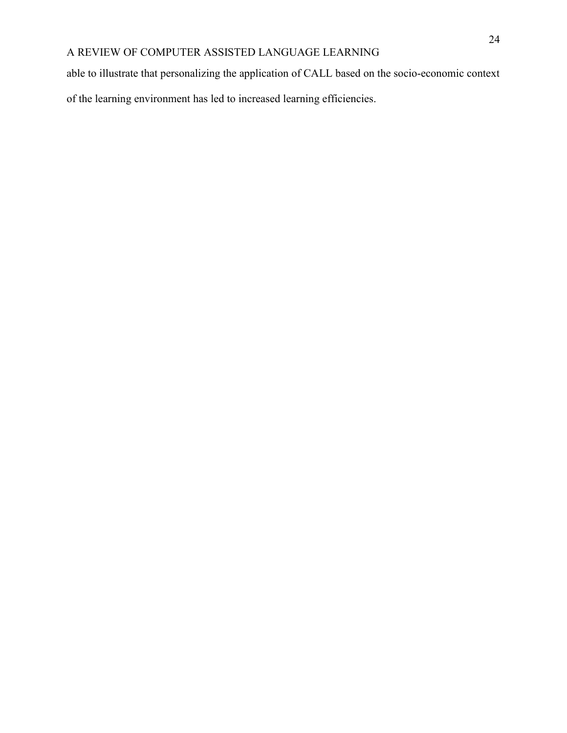able to illustrate that personalizing the application of CALL based on the socio-economic context of the learning environment has led to increased learning efficiencies.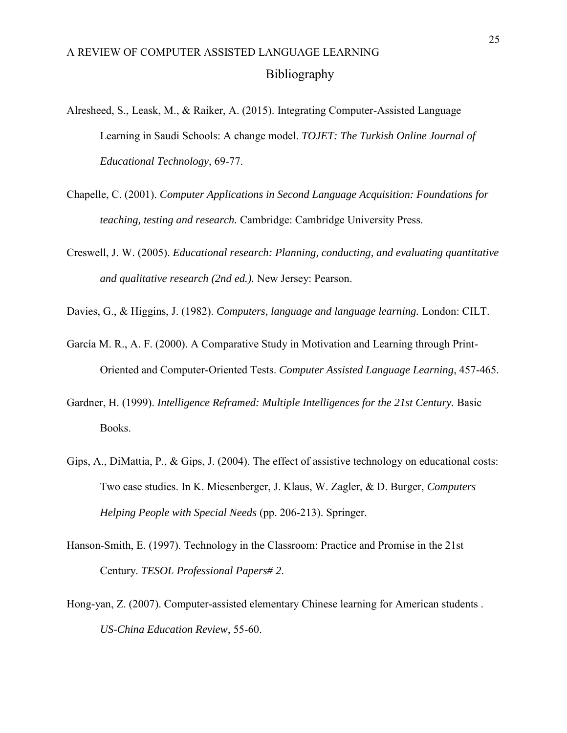### <span id="page-29-0"></span>A REVIEW OF COMPUTER ASSISTED LANGUAGE LEARNING Bibliography

- Alresheed, S., Leask, M., & Raiker, A. (2015). Integrating Computer-Assisted Language Learning in Saudi Schools: A change model. *TOJET: The Turkish Online Journal of Educational Technology*, 69-77.
- Chapelle, C. (2001). *Computer Applications in Second Language Acquisition: Foundations for teaching, testing and research.* Cambridge: Cambridge University Press.
- Creswell, J. W. (2005). *Educational research: Planning, conducting, and evaluating quantitative and qualitative research (2nd ed.).* New Jersey: Pearson.
- Davies, G., & Higgins, J. (1982). *Computers, language and language learning.* London: CILT.
- García M. R., A. F. (2000). A Comparative Study in Motivation and Learning through Print-Oriented and Computer-Oriented Tests. *Computer Assisted Language Learning*, 457-465.
- Gardner, H. (1999). *Intelligence Reframed: Multiple Intelligences for the 21st Century.* Basic Books.
- Gips, A., DiMattia, P., & Gips, J. (2004). The effect of assistive technology on educational costs: Two case studies. In K. Miesenberger, J. Klaus, W. Zagler, & D. Burger, *Computers Helping People with Special Needs* (pp. 206-213). Springer.
- Hanson-Smith, E. (1997). Technology in the Classroom: Practice and Promise in the 21st Century. *TESOL Professional Papers# 2*.
- Hong-yan, Z. (2007). Computer-assisted elementary Chinese learning for American students . *US-China Education Review*, 55-60.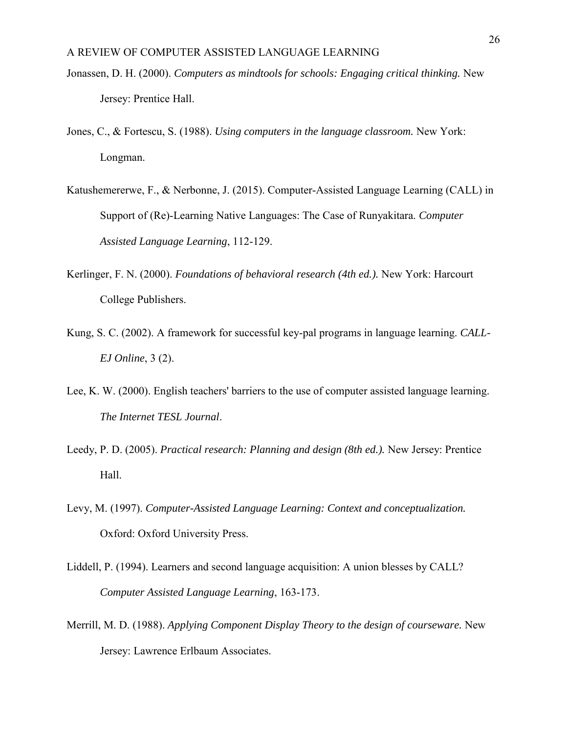- Jonassen, D. H. (2000). *Computers as mindtools for schools: Engaging critical thinking.* New Jersey: Prentice Hall.
- Jones, C., & Fortescu, S. (1988). *Using computers in the language classroom.* New York: Longman.
- Katushemererwe, F., & Nerbonne, J. (2015). Computer-Assisted Language Learning (CALL) in Support of (Re)-Learning Native Languages: The Case of Runyakitara. *Computer Assisted Language Learning*, 112-129.
- Kerlinger, F. N. (2000). *Foundations of behavioral research (4th ed.).* New York: Harcourt College Publishers.
- Kung, S. C. (2002). A framework for successful key-pal programs in language learning. *CALL-EJ Online*, 3 (2).
- Lee, K. W. (2000). English teachers' barriers to the use of computer assisted language learning. *The Internet TESL Journal*.
- Leedy, P. D. (2005). *Practical research: Planning and design (8th ed.).* New Jersey: Prentice Hall.
- Levy, M. (1997). *Computer-Assisted Language Learning: Context and conceptualization.* Oxford: Oxford University Press.
- Liddell, P. (1994). Learners and second language acquisition: A union blesses by CALL? *Computer Assisted Language Learning*, 163-173.
- Merrill, M. D. (1988). *Applying Component Display Theory to the design of courseware.* New Jersey: Lawrence Erlbaum Associates.